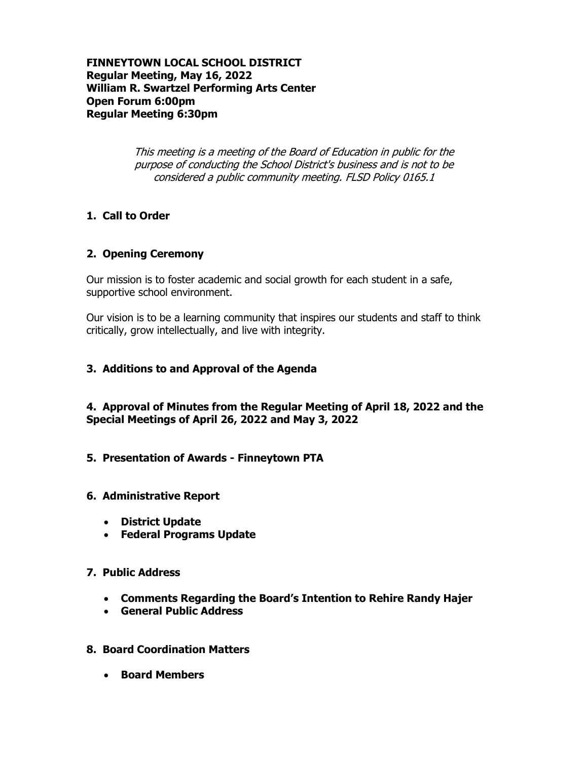**FINNEYTOWN LOCAL SCHOOL DISTRICT Regular Meeting, May 16, 2022 William R. Swartzel Performing Arts Center Open Forum 6:00pm Regular Meeting 6:30pm**

> This meeting is a meeting of the Board of Education in public for the purpose of conducting the School District's business and is not to be considered a public community meeting. FLSD Policy 0165.1

# **1. Call to Order**

# **2. Opening Ceremony**

Our mission is to foster academic and social growth for each student in a safe, supportive school environment.

Our vision is to be a learning community that inspires our students and staff to think critically, grow intellectually, and live with integrity.

## **3. Additions to and Approval of the Agenda**

**4. Approval of Minutes from the Regular Meeting of April 18, 2022 and the Special Meetings of April 26, 2022 and May 3, 2022**

**5. Presentation of Awards - Finneytown PTA**

## **6. Administrative Report**

- **District Update**
- **Federal Programs Update**

# **7. Public Address**

- **Comments Regarding the Board's Intention to Rehire Randy Hajer**
- **General Public Address**
- **8. Board Coordination Matters**
	- **Board Members**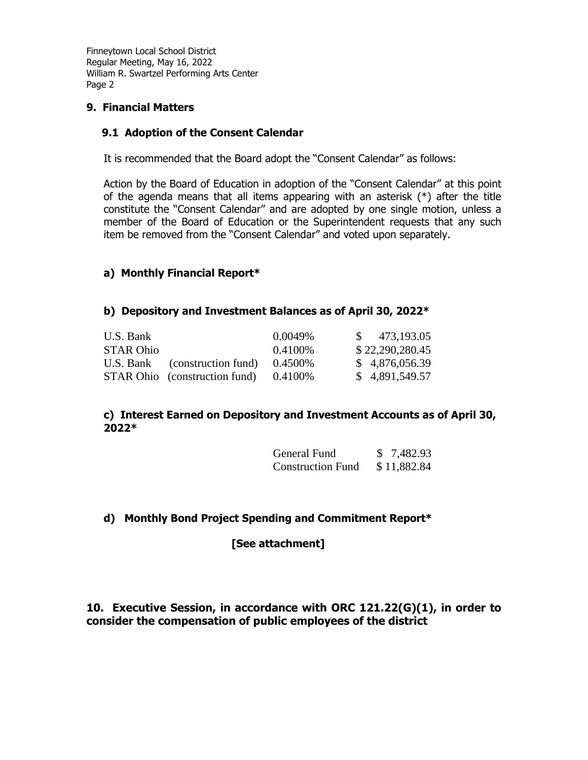# **9. Financial Matters**

## **9.1 Adoption of the Consent Calendar**

It is recommended that the Board adopt the "Consent Calendar" as follows:

Action by the Board of Education in adoption of the "Consent Calendar" at this point of the agenda means that all items appearing with an asterisk (\*) after the title constitute the "Consent Calendar" and are adopted by one single motion, unless a member of the Board of Education or the Superintendent requests that any such item be removed from the "Consent Calendar" and voted upon separately.

# **a) Monthly Financial Report\***

## **b) Depository and Investment Balances as of April 30, 2022\***

| U.S. Bank        |                                      | $0.0049\%$ | $\frac{1}{2}$ 473,193.05 |
|------------------|--------------------------------------|------------|--------------------------|
| <b>STAR Ohio</b> |                                      | $0.4100\%$ | \$22,290,280.45          |
|                  | U.S. Bank (construction fund)        | $0.4500\%$ | \$4,876,056.39           |
|                  | <b>STAR Ohio</b> (construction fund) | 0.4100\%   | \$4,891,549.57           |

## **c) Interest Earned on Depository and Investment Accounts as of April 30, 2022\***

| General Fund             | \$7,482.93  |
|--------------------------|-------------|
| <b>Construction Fund</b> | \$11,882.84 |

# **d) Monthly Bond Project Spending and Commitment Report\***

**[See attachment]**

# **10. Executive Session, in accordance with ORC 121.22(G)(1), in order to consider the compensation of public employees of the district**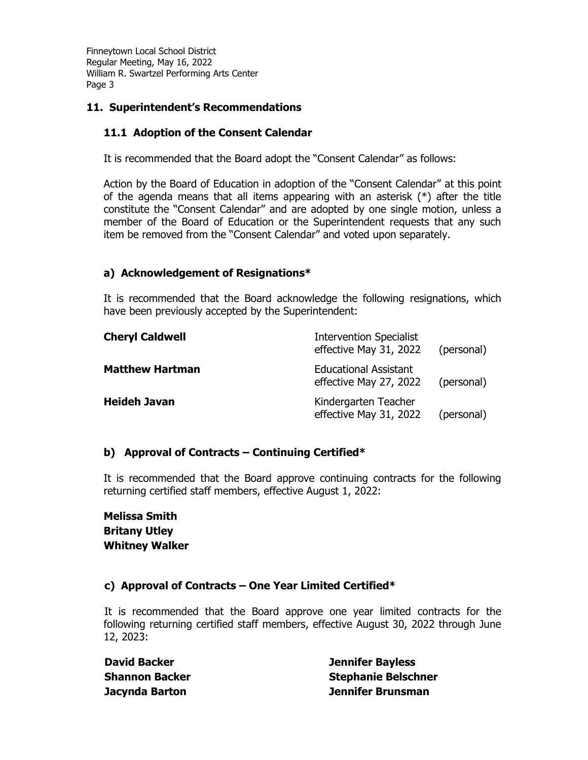# **11. Superintendent's Recommendations**

# **11.1 Adoption of the Consent Calendar**

It is recommended that the Board adopt the "Consent Calendar" as follows:

Action by the Board of Education in adoption of the "Consent Calendar" at this point of the agenda means that all items appearing with an asterisk  $(*)$  after the title constitute the "Consent Calendar" and are adopted by one single motion, unless a member of the Board of Education or the Superintendent requests that any such item be removed from the "Consent Calendar" and voted upon separately.

# **a) Acknowledgement of Resignations\***

It is recommended that the Board acknowledge the following resignations, which have been previously accepted by the Superintendent:

| <b>Cheryl Caldwell</b> | <b>Intervention Specialist</b><br>effective May 31, 2022 | (personal) |
|------------------------|----------------------------------------------------------|------------|
| <b>Matthew Hartman</b> | <b>Educational Assistant</b><br>effective May 27, 2022   | (personal) |
| <b>Heideh Javan</b>    | Kindergarten Teacher<br>effective May 31, 2022           | (personal) |

## **b) Approval of Contracts – Continuing Certified\***

It is recommended that the Board approve continuing contracts for the following returning certified staff members, effective August 1, 2022:

**Melissa Smith Britany Utley Whitney Walker**

# **c) Approval of Contracts – One Year Limited Certified\***

It is recommended that the Board approve one year limited contracts for the following returning certified staff members, effective August 30, 2022 through June 12, 2023:

| <b>David Backer</b>   |
|-----------------------|
| <b>Shannon Backer</b> |
| Jacynda Barton        |

**Jennifer Bayless Stephanie Belschner Jennifer Brunsman**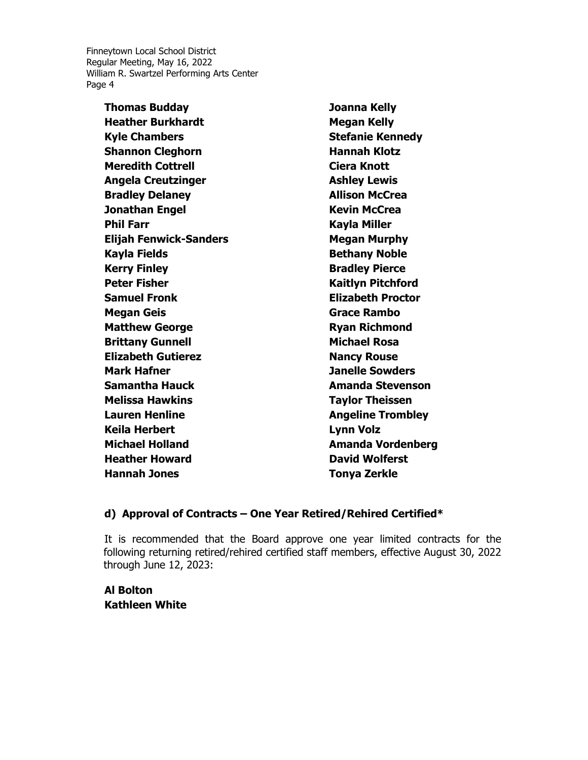> **Thomas Budday Heather Burkhardt Kyle Chambers Shannon Cleghorn Meredith Cottrell Angela Creutzinger Bradley Delaney Jonathan Engel Phil Farr Elijah Fenwick-Sanders Kayla Fields Kerry Finley Peter Fisher Samuel Fronk Megan Geis Matthew George Brittany Gunnell Elizabeth Gutierez Mark Hafner Samantha Hauck Melissa Hawkins Lauren Henline Keila Herbert Michael Holland Heather Howard Hannah Jones**

**Joanna Kelly Megan Kelly Stefanie Kennedy Hannah Klotz Ciera Knott Ashley Lewis Allison McCrea Kevin McCrea Kayla Miller Megan Murphy Bethany Noble Bradley Pierce Kaitlyn Pitchford Elizabeth Proctor Grace Rambo Ryan Richmond Michael Rosa Nancy Rouse Janelle Sowders Amanda Stevenson Taylor Theissen Angeline Trombley Lynn Volz Amanda Vordenberg David Wolferst Tonya Zerkle**

## **d) Approval of Contracts – One Year Retired/Rehired Certified\***

It is recommended that the Board approve one year limited contracts for the following returning retired/rehired certified staff members, effective August 30, 2022 through June 12, 2023:

**Al Bolton Kathleen White**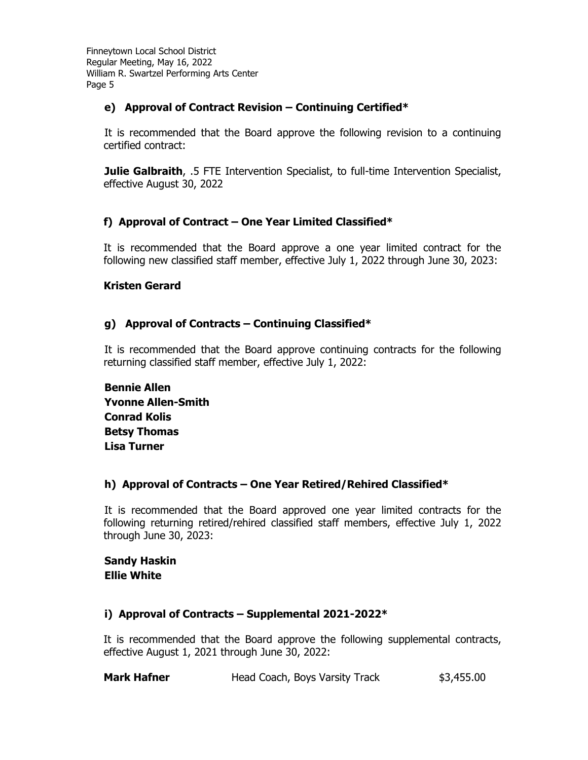# **e) Approval of Contract Revision – Continuing Certified\***

It is recommended that the Board approve the following revision to a continuing certified contract:

**Julie Galbraith**, .5 FTE Intervention Specialist, to full-time Intervention Specialist, effective August 30, 2022

# **f) Approval of Contract – One Year Limited Classified\***

It is recommended that the Board approve a one year limited contract for the following new classified staff member, effective July 1, 2022 through June 30, 2023:

## **Kristen Gerard**

# **g) Approval of Contracts – Continuing Classified\***

It is recommended that the Board approve continuing contracts for the following returning classified staff member, effective July 1, 2022:

**Bennie Allen Yvonne Allen-Smith Conrad Kolis Betsy Thomas Lisa Turner**

## **h) Approval of Contracts – One Year Retired/Rehired Classified\***

It is recommended that the Board approved one year limited contracts for the following returning retired/rehired classified staff members, effective July 1, 2022 through June 30, 2023:

## **Sandy Haskin Ellie White**

# **i) Approval of Contracts – Supplemental 2021-2022\***

It is recommended that the Board approve the following supplemental contracts, effective August 1, 2021 through June 30, 2022:

| <b>Mark Hafner</b> | Head Coach, Boys Varsity Track | \$3,455.00 |
|--------------------|--------------------------------|------------|
|--------------------|--------------------------------|------------|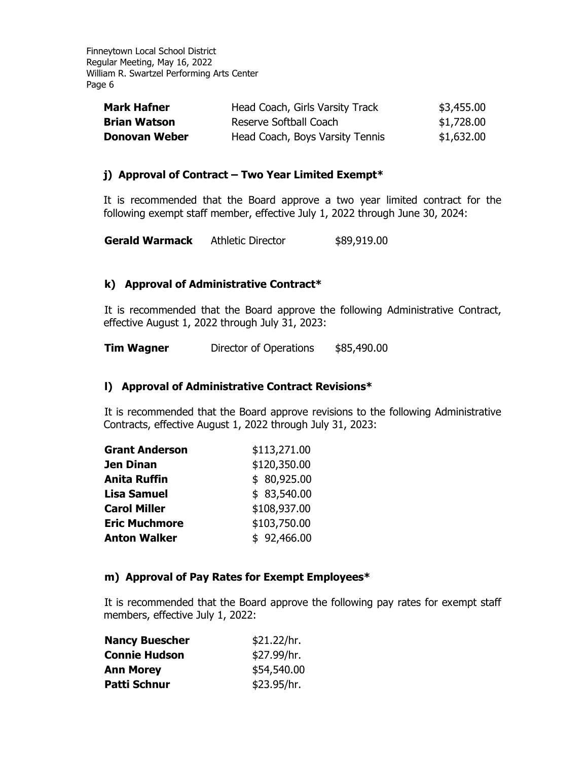| <b>Mark Hafner</b>   | Head Coach, Girls Varsity Track | \$3,455.00 |
|----------------------|---------------------------------|------------|
| <b>Brian Watson</b>  | Reserve Softball Coach          | \$1,728.00 |
| <b>Donovan Weber</b> | Head Coach, Boys Varsity Tennis | \$1,632.00 |

## **j) Approval of Contract – Two Year Limited Exempt\***

It is recommended that the Board approve a two year limited contract for the following exempt staff member, effective July 1, 2022 through June 30, 2024:

**Gerald Warmack** Athletic Director \$89,919.00

## **k) Approval of Administrative Contract\***

It is recommended that the Board approve the following Administrative Contract, effective August 1, 2022 through July 31, 2023:

**Tim Wagner** Director of Operations \$85,490.00

### **l) Approval of Administrative Contract Revisions\***

It is recommended that the Board approve revisions to the following Administrative Contracts, effective August 1, 2022 through July 31, 2023:

| <b>Grant Anderson</b> | \$113,271.00 |
|-----------------------|--------------|
| Jen Dinan             | \$120,350.00 |
| Anita Ruffin          | \$80,925.00  |
| <b>Lisa Samuel</b>    | \$83,540.00  |
| <b>Carol Miller</b>   | \$108,937.00 |
| <b>Eric Muchmore</b>  | \$103,750.00 |
| <b>Anton Walker</b>   | \$92,466.00  |

### **m) Approval of Pay Rates for Exempt Employees\***

It is recommended that the Board approve the following pay rates for exempt staff members, effective July 1, 2022:

| <b>Nancy Buescher</b> | \$21.22/hr. |
|-----------------------|-------------|
| <b>Connie Hudson</b>  | \$27.99/hr. |
| <b>Ann Morey</b>      | \$54,540.00 |
| Patti Schnur          | \$23.95/hr. |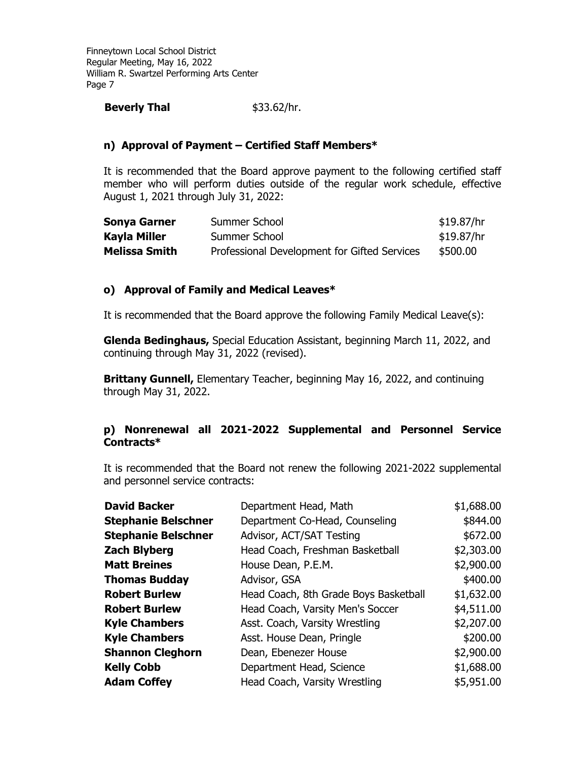## **Beverly Thal** \$33.62/hr.

# **n) Approval of Payment – Certified Staff Members\***

It is recommended that the Board approve payment to the following certified staff member who will perform duties outside of the regular work schedule, effective August 1, 2021 through July 31, 2022:

| <b>Sonya Garner</b>  | Summer School                                | \$19.87/hr |
|----------------------|----------------------------------------------|------------|
| Kayla Miller         | Summer School                                | \$19.87/hr |
| <b>Melissa Smith</b> | Professional Development for Gifted Services | \$500.00   |

## **o) Approval of Family and Medical Leaves\***

It is recommended that the Board approve the following Family Medical Leave(s):

**Glenda Bedinghaus,** Special Education Assistant, beginning March 11, 2022, and continuing through May 31, 2022 (revised).

**Brittany Gunnell,** Elementary Teacher, beginning May 16, 2022, and continuing through May 31, 2022.

## **p) Nonrenewal all 2021-2022 Supplemental and Personnel Service Contracts\***

It is recommended that the Board not renew the following 2021-2022 supplemental and personnel service contracts:

| <b>David Backer</b>        | Department Head, Math                 | \$1,688.00 |
|----------------------------|---------------------------------------|------------|
| <b>Stephanie Belschner</b> | Department Co-Head, Counseling        | \$844.00   |
| <b>Stephanie Belschner</b> | Advisor, ACT/SAT Testing              | \$672.00   |
| <b>Zach Blyberg</b>        | Head Coach, Freshman Basketball       | \$2,303.00 |
| <b>Matt Breines</b>        | House Dean, P.E.M.                    | \$2,900.00 |
| <b>Thomas Budday</b>       | Advisor, GSA                          | \$400.00   |
| <b>Robert Burlew</b>       | Head Coach, 8th Grade Boys Basketball | \$1,632.00 |
| <b>Robert Burlew</b>       | Head Coach, Varsity Men's Soccer      | \$4,511.00 |
| <b>Kyle Chambers</b>       | Asst. Coach, Varsity Wrestling        | \$2,207.00 |
| <b>Kyle Chambers</b>       | Asst. House Dean, Pringle             | \$200.00   |
| <b>Shannon Cleghorn</b>    | Dean, Ebenezer House                  | \$2,900.00 |
| <b>Kelly Cobb</b>          | Department Head, Science              | \$1,688.00 |
| <b>Adam Coffey</b>         | Head Coach, Varsity Wrestling         | \$5,951.00 |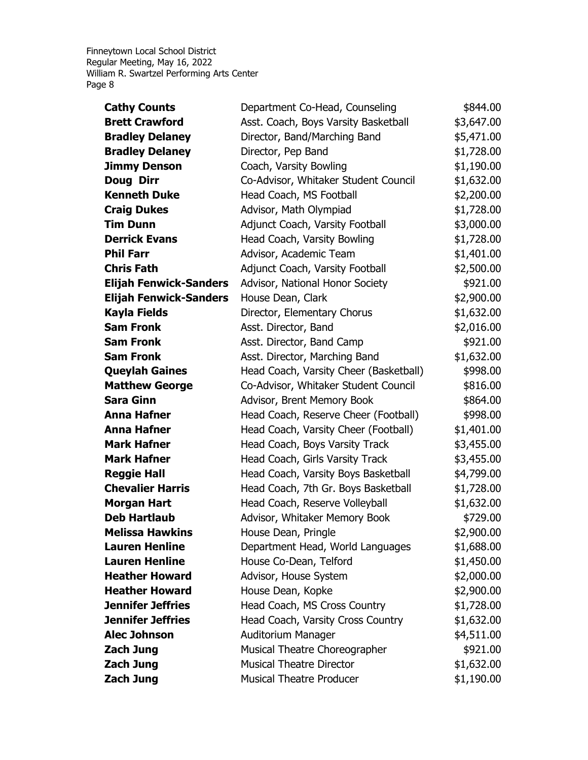| <b>Cathy Counts</b>           | Department Co-Head, Counseling         | \$844.00   |
|-------------------------------|----------------------------------------|------------|
| <b>Brett Crawford</b>         | Asst. Coach, Boys Varsity Basketball   | \$3,647.00 |
| <b>Bradley Delaney</b>        | Director, Band/Marching Band           | \$5,471.00 |
| <b>Bradley Delaney</b>        | Director, Pep Band                     | \$1,728.00 |
| <b>Jimmy Denson</b>           | Coach, Varsity Bowling                 | \$1,190.00 |
| Doug Dirr                     | Co-Advisor, Whitaker Student Council   | \$1,632.00 |
| <b>Kenneth Duke</b>           | Head Coach, MS Football                | \$2,200.00 |
| <b>Craig Dukes</b>            | Advisor, Math Olympiad                 | \$1,728.00 |
| <b>Tim Dunn</b>               | Adjunct Coach, Varsity Football        | \$3,000.00 |
| <b>Derrick Evans</b>          | Head Coach, Varsity Bowling            | \$1,728.00 |
| <b>Phil Farr</b>              | Advisor, Academic Team                 | \$1,401.00 |
| <b>Chris Fath</b>             | Adjunct Coach, Varsity Football        | \$2,500.00 |
| <b>Elijah Fenwick-Sanders</b> | Advisor, National Honor Society        | \$921.00   |
| <b>Elijah Fenwick-Sanders</b> | House Dean, Clark                      | \$2,900.00 |
| <b>Kayla Fields</b>           | Director, Elementary Chorus            | \$1,632.00 |
| <b>Sam Fronk</b>              | Asst. Director, Band                   | \$2,016.00 |
| <b>Sam Fronk</b>              | Asst. Director, Band Camp              | \$921.00   |
| <b>Sam Fronk</b>              | Asst. Director, Marching Band          | \$1,632.00 |
| <b>Queylah Gaines</b>         | Head Coach, Varsity Cheer (Basketball) | \$998.00   |
| <b>Matthew George</b>         | Co-Advisor, Whitaker Student Council   | \$816.00   |
| <b>Sara Ginn</b>              | Advisor, Brent Memory Book             | \$864.00   |
| <b>Anna Hafner</b>            | Head Coach, Reserve Cheer (Football)   | \$998.00   |
| <b>Anna Hafner</b>            | Head Coach, Varsity Cheer (Football)   | \$1,401.00 |
| <b>Mark Hafner</b>            | Head Coach, Boys Varsity Track         | \$3,455.00 |
| <b>Mark Hafner</b>            | Head Coach, Girls Varsity Track        | \$3,455.00 |
| <b>Reggie Hall</b>            | Head Coach, Varsity Boys Basketball    | \$4,799.00 |
| <b>Chevalier Harris</b>       | Head Coach, 7th Gr. Boys Basketball    | \$1,728.00 |
| <b>Morgan Hart</b>            | Head Coach, Reserve Volleyball         | \$1,632.00 |
| <b>Deb Hartlaub</b>           | Advisor, Whitaker Memory Book          | \$729.00   |
| <b>Melissa Hawkins</b>        | House Dean, Pringle                    | \$2,900.00 |
| <b>Lauren Henline</b>         | Department Head, World Languages       | \$1,688.00 |
| <b>Lauren Henline</b>         | House Co-Dean, Telford                 | \$1,450.00 |
| <b>Heather Howard</b>         | Advisor, House System                  | \$2,000.00 |
| <b>Heather Howard</b>         | House Dean, Kopke                      | \$2,900.00 |
| <b>Jennifer Jeffries</b>      | Head Coach, MS Cross Country           | \$1,728.00 |
| <b>Jennifer Jeffries</b>      | Head Coach, Varsity Cross Country      | \$1,632.00 |
| <b>Alec Johnson</b>           | Auditorium Manager                     | \$4,511.00 |
| <b>Zach Jung</b>              | Musical Theatre Choreographer          | \$921.00   |
| <b>Zach Jung</b>              | <b>Musical Theatre Director</b>        | \$1,632.00 |
| <b>Zach Jung</b>              | <b>Musical Theatre Producer</b>        | \$1,190.00 |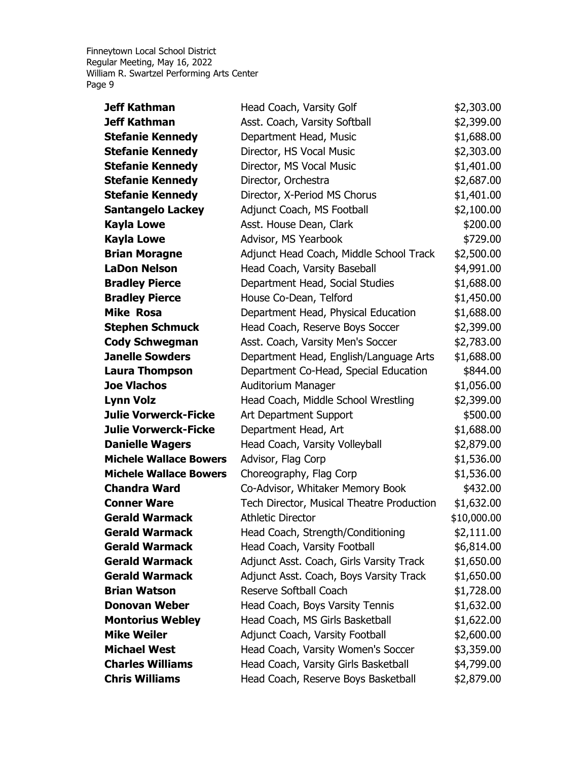| <b>Jeff Kathman</b>           | Head Coach, Varsity Golf                  | \$2,303.00  |
|-------------------------------|-------------------------------------------|-------------|
| <b>Jeff Kathman</b>           | Asst. Coach, Varsity Softball             | \$2,399.00  |
| <b>Stefanie Kennedy</b>       | Department Head, Music                    | \$1,688.00  |
| <b>Stefanie Kennedy</b>       | Director, HS Vocal Music                  | \$2,303.00  |
| <b>Stefanie Kennedy</b>       | Director, MS Vocal Music                  | \$1,401.00  |
| <b>Stefanie Kennedy</b>       | Director, Orchestra                       | \$2,687.00  |
| <b>Stefanie Kennedy</b>       | Director, X-Period MS Chorus              | \$1,401.00  |
| <b>Santangelo Lackey</b>      | Adjunct Coach, MS Football                | \$2,100.00  |
| <b>Kayla Lowe</b>             | Asst. House Dean, Clark                   | \$200.00    |
| <b>Kayla Lowe</b>             | Advisor, MS Yearbook                      | \$729.00    |
| <b>Brian Moragne</b>          | Adjunct Head Coach, Middle School Track   | \$2,500.00  |
| <b>LaDon Nelson</b>           | Head Coach, Varsity Baseball              | \$4,991.00  |
| <b>Bradley Pierce</b>         | Department Head, Social Studies           | \$1,688.00  |
| <b>Bradley Pierce</b>         | House Co-Dean, Telford                    | \$1,450.00  |
| <b>Mike Rosa</b>              | Department Head, Physical Education       | \$1,688.00  |
| <b>Stephen Schmuck</b>        | Head Coach, Reserve Boys Soccer           | \$2,399.00  |
| <b>Cody Schwegman</b>         | Asst. Coach, Varsity Men's Soccer         | \$2,783.00  |
| <b>Janelle Sowders</b>        | Department Head, English/Language Arts    | \$1,688.00  |
| <b>Laura Thompson</b>         | Department Co-Head, Special Education     | \$844.00    |
| <b>Joe Vlachos</b>            | Auditorium Manager                        | \$1,056.00  |
| <b>Lynn Volz</b>              | Head Coach, Middle School Wrestling       | \$2,399.00  |
| <b>Julie Vorwerck-Ficke</b>   | Art Department Support                    | \$500.00    |
| <b>Julie Vorwerck-Ficke</b>   | Department Head, Art                      | \$1,688.00  |
| <b>Danielle Wagers</b>        | Head Coach, Varsity Volleyball            | \$2,879.00  |
| <b>Michele Wallace Bowers</b> | Advisor, Flag Corp                        | \$1,536.00  |
| <b>Michele Wallace Bowers</b> | Choreography, Flag Corp                   | \$1,536.00  |
| <b>Chandra Ward</b>           | Co-Advisor, Whitaker Memory Book          | \$432.00    |
| <b>Conner Ware</b>            | Tech Director, Musical Theatre Production | \$1,632.00  |
| <b>Gerald Warmack</b>         | <b>Athletic Director</b>                  | \$10,000.00 |
| <b>Gerald Warmack</b>         | Head Coach, Strength/Conditioning         | \$2,111.00  |
| <b>Gerald Warmack</b>         | Head Coach, Varsity Football              | \$6,814.00  |
| <b>Gerald Warmack</b>         | Adjunct Asst. Coach, Girls Varsity Track  | \$1,650.00  |
| <b>Gerald Warmack</b>         | Adjunct Asst. Coach, Boys Varsity Track   | \$1,650.00  |
| <b>Brian Watson</b>           | Reserve Softball Coach                    | \$1,728.00  |
| <b>Donovan Weber</b>          | Head Coach, Boys Varsity Tennis           | \$1,632.00  |
| <b>Montorius Webley</b>       | Head Coach, MS Girls Basketball           | \$1,622.00  |
| <b>Mike Weiler</b>            | Adjunct Coach, Varsity Football           | \$2,600.00  |
| <b>Michael West</b>           | Head Coach, Varsity Women's Soccer        | \$3,359.00  |
| <b>Charles Williams</b>       | Head Coach, Varsity Girls Basketball      | \$4,799.00  |
| <b>Chris Williams</b>         | Head Coach, Reserve Boys Basketball       | \$2,879.00  |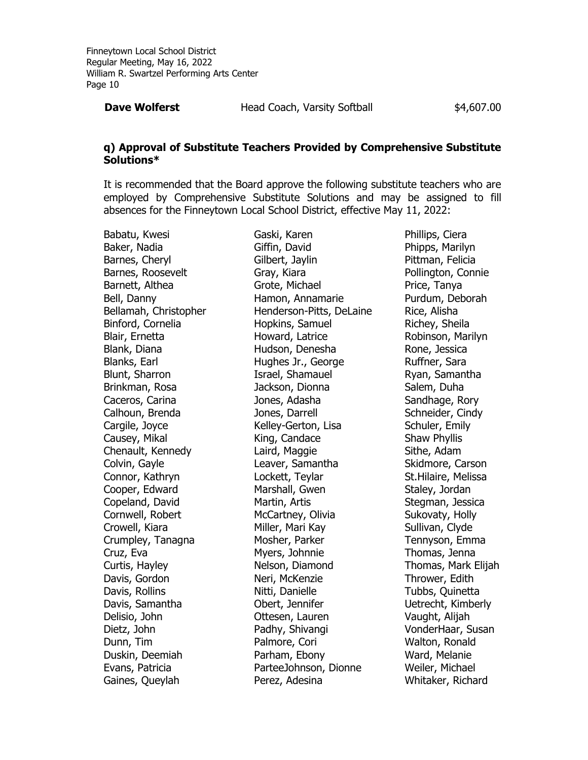**Dave Wolferst Head Coach, Varsity Softball** \$4,607.00

### **q) Approval of Substitute Teachers Provided by Comprehensive Substitute Solutions\***

It is recommended that the Board approve the following substitute teachers who are employed by Comprehensive Substitute Solutions and may be assigned to fill absences for the Finneytown Local School District, effective May 11, 2022:

Babatu, Kwesi Baker, Nadia Barnes, Cheryl Barnes, Roosevelt Barnett, Althea Bell, Danny Bellamah, Christopher Binford, Cornelia Blair, Ernetta Blank, Diana Blanks, Earl Blunt, Sharron Brinkman, Rosa Caceros, Carina Calhoun, Brenda Cargile, Joyce Causey, Mikal Chenault, Kennedy Colvin, Gayle Connor, Kathryn Cooper, Edward Copeland, David Cornwell, Robert Crowell, Kiara Crumpley, Tanagna Cruz, Eva Curtis, Hayley Davis, Gordon Davis, Rollins Davis, Samantha Delisio, John Dietz, John Dunn, Tim Duskin, Deemiah Evans, Patricia Gaines, Queylah

Gaski, Karen Giffin, David Gilbert, Jaylin Gray, Kiara Grote, Michael Hamon, Annamarie Henderson-Pitts, DeLaine Hopkins, Samuel Howard, Latrice Hudson, Denesha Hughes Jr., George Israel, Shamauel Jackson, Dionna Jones, Adasha Jones, Darrell Kelley-Gerton, Lisa King, Candace Laird, Maggie Leaver, Samantha Lockett, Teylar Marshall, Gwen Martin, Artis McCartney, Olivia Miller, Mari Kay Mosher, Parker Myers, Johnnie Nelson, Diamond Neri, McKenzie Nitti, Danielle Obert, Jennifer Ottesen, Lauren Padhy, Shivangi Palmore, Cori Parham, Ebony ParteeJohnson, Dionne Perez, Adesina

Phillips, Ciera Phipps, Marilyn Pittman, Felicia Pollington, Connie Price, Tanya Purdum, Deborah Rice, Alisha Richey, Sheila Robinson, Marilyn Rone, Jessica Ruffner, Sara Ryan, Samantha Salem, Duha Sandhage, Rory Schneider, Cindy Schuler, Emily Shaw Phyllis Sithe, Adam Skidmore, Carson St.Hilaire, Melissa Staley, Jordan Stegman, Jessica Sukovaty, Holly Sullivan, Clyde Tennyson, Emma Thomas, Jenna Thomas, Mark Elijah Thrower, Edith Tubbs, Quinetta Uetrecht, Kimberly Vaught, Alijah VonderHaar, Susan Walton, Ronald Ward, Melanie Weiler, Michael Whitaker, Richard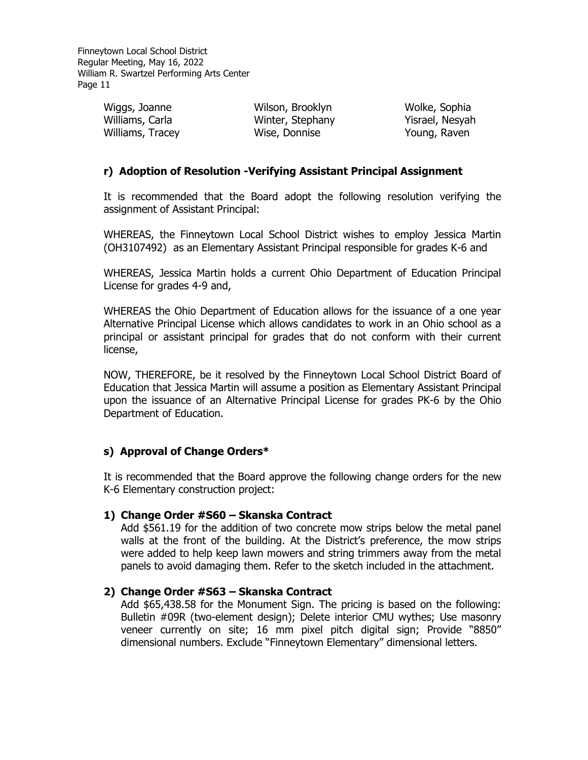> Wiggs, Joanne<br>Williams, Carlo Williams, Carla Williams, Tracey Wilson, Brooklyn Winter, Stephany Wise, Donnise

Wolke, Sophia Yisrael, Nesyah Young, Raven

## **r) Adoption of Resolution -Verifying Assistant Principal Assignment**

It is recommended that the Board adopt the following resolution verifying the assignment of Assistant Principal:

WHEREAS, the Finneytown Local School District wishes to employ Jessica Martin (OH3107492) as an Elementary Assistant Principal responsible for grades K-6 and

WHEREAS, Jessica Martin holds a current Ohio Department of Education Principal License for grades 4-9 and,

WHEREAS the Ohio Department of Education allows for the issuance of a one year Alternative Principal License which allows candidates to work in an Ohio school as a principal or assistant principal for grades that do not conform with their current license,

NOW, THEREFORE, be it resolved by the Finneytown Local School District Board of Education that Jessica Martin will assume a position as Elementary Assistant Principal upon the issuance of an Alternative Principal License for grades PK-6 by the Ohio Department of Education.

## **s) Approval of Change Orders\***

It is recommended that the Board approve the following change orders for the new K-6 Elementary construction project:

## **1) Change Order #S60 – Skanska Contract**

Add \$561.19 for the addition of two concrete mow strips below the metal panel walls at the front of the building. At the District's preference, the mow strips were added to help keep lawn mowers and string trimmers away from the metal panels to avoid damaging them. Refer to the sketch included in the attachment.

## **2) Change Order #S63 – Skanska Contract**

Add \$65,438.58 for the Monument Sign. The pricing is based on the following: Bulletin #09R (two-element design); Delete interior CMU wythes; Use masonry veneer currently on site; 16 mm pixel pitch digital sign; Provide "8850" dimensional numbers. Exclude "Finneytown Elementary" dimensional letters.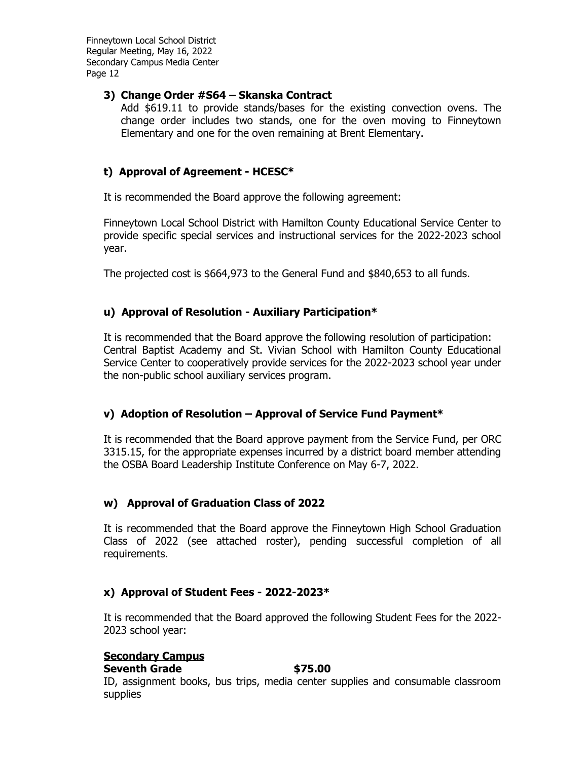# **3) Change Order #S64 – Skanska Contract**

Add \$619.11 to provide stands/bases for the existing convection ovens. The change order includes two stands, one for the oven moving to Finneytown Elementary and one for the oven remaining at Brent Elementary.

# **t) Approval of Agreement - HCESC\***

It is recommended the Board approve the following agreement:

Finneytown Local School District with Hamilton County Educational Service Center to provide specific special services and instructional services for the 2022-2023 school year.

The projected cost is \$664,973 to the General Fund and \$840,653 to all funds.

# **u) Approval of Resolution - Auxiliary Participation\***

It is recommended that the Board approve the following resolution of participation: Central Baptist Academy and St. Vivian School with Hamilton County Educational Service Center to cooperatively provide services for the 2022-2023 school year under the non-public school auxiliary services program.

# **v) Adoption of Resolution – Approval of Service Fund Payment\***

It is recommended that the Board approve payment from the Service Fund, per ORC 3315.15, for the appropriate expenses incurred by a district board member attending the OSBA Board Leadership Institute Conference on May 6-7, 2022.

# **w) Approval of Graduation Class of 2022**

It is recommended that the Board approve the Finneytown High School Graduation Class of 2022 (see attached roster), pending successful completion of all requirements.

# **x) Approval of Student Fees - 2022-2023\***

It is recommended that the Board approved the following Student Fees for the 2022- 2023 school year:

# **Secondary Campus**

### **Seventh Grade 675.00**

ID, assignment books, bus trips, media center supplies and consumable classroom supplies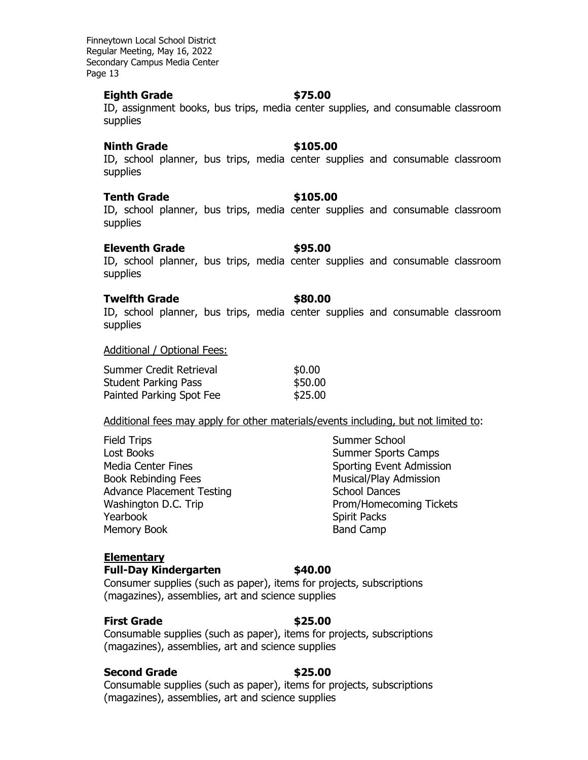### **Eighth Grade \$75.00**

ID, assignment books, bus trips, media center supplies, and consumable classroom supplies

### **Ninth Grade \$105.00**

ID, school planner, bus trips, media center supplies and consumable classroom supplies

### **Tenth Grade \$105.00**

ID, school planner, bus trips, media center supplies and consumable classroom supplies

### **Eleventh Grade 895.00**

ID, school planner, bus trips, media center supplies and consumable classroom supplies

### **Twelfth Grade \$80.00**

ID, school planner, bus trips, media center supplies and consumable classroom supplies

### Additional / Optional Fees:

| Summer Credit Retrieval     | \$0.00  |
|-----------------------------|---------|
| <b>Student Parking Pass</b> | \$50.00 |
| Painted Parking Spot Fee    | \$25.00 |

### Additional fees may apply for other materials/events including, but not limited to:

| <b>Field Trips</b>               |
|----------------------------------|
| <b>Lost Books</b>                |
| <b>Media Center Fines</b>        |
| <b>Book Rebinding Fees</b>       |
| <b>Advance Placement Testing</b> |
| Washington D.C. Trip             |
| Yearbook                         |
| <b>Memory Book</b>               |

Summer School Summer Sports Camps Sporting Event Admission Musical/Play Admission School Dances Prom/Homecoming Tickets Spirit Packs Band Camp

# **Elementary**

## **Full-Day Kindergarten \$40.00**

Consumer supplies (such as paper), items for projects, subscriptions (magazines), assemblies, art and science supplies

## **First Grade \$25.00**

Consumable supplies (such as paper), items for projects, subscriptions (magazines), assemblies, art and science supplies

### **Second Grade \$25.00**

Consumable supplies (such as paper), items for projects, subscriptions (magazines), assemblies, art and science supplies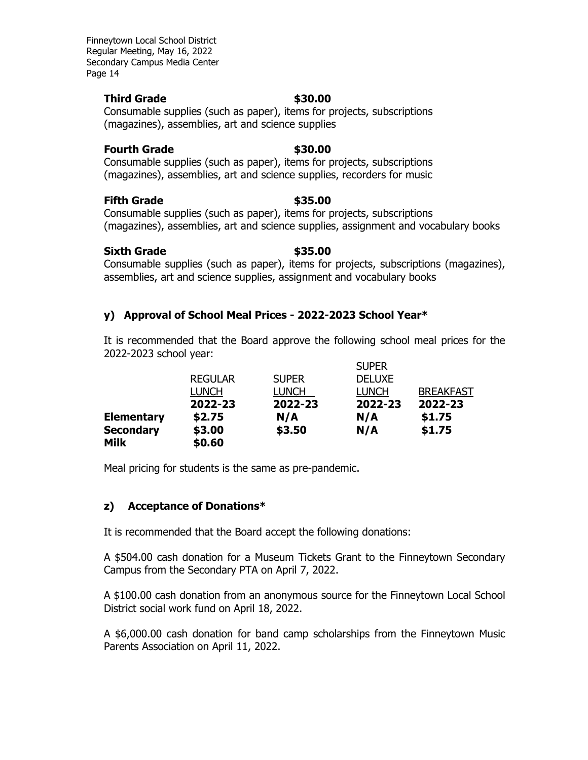## **Third Grade \$30.00**

## Consumable supplies (such as paper), items for projects, subscriptions (magazines), assemblies, art and science supplies

## **Fourth Grade 630.00**

Consumable supplies (such as paper), items for projects, subscriptions (magazines), assemblies, art and science supplies, recorders for music

# **Fifth Grade**  $\qquad$  **\$35.00**

Consumable supplies (such as paper), items for projects, subscriptions (magazines), assemblies, art and science supplies, assignment and vocabulary books

# **Sixth Grade \$35.00**

Consumable supplies (such as paper), items for projects, subscriptions (magazines), assemblies, art and science supplies, assignment and vocabulary books

# **y) Approval of School Meal Prices - 2022-2023 School Year\***

It is recommended that the Board approve the following school meal prices for the 2022-2023 school year: SUPER

|                   |                |              | <b>SUPER</b>  |                  |
|-------------------|----------------|--------------|---------------|------------------|
|                   | <b>REGULAR</b> | <b>SUPER</b> | <b>DELUXE</b> |                  |
|                   | <b>LUNCH</b>   | LUNCH        | <b>LUNCH</b>  | <b>BREAKFAST</b> |
|                   | 2022-23        | 2022-23      | 2022-23       | 2022-23          |
| <b>Elementary</b> | \$2.75         | N/A          | N/A           | \$1.75           |
| <b>Secondary</b>  | \$3.00         | \$3.50       | N/A           | \$1.75           |
| <b>Milk</b>       | \$0.60         |              |               |                  |

Meal pricing for students is the same as pre-pandemic.

# **z) Acceptance of Donations\***

It is recommended that the Board accept the following donations:

A \$504.00 cash donation for a Museum Tickets Grant to the Finneytown Secondary Campus from the Secondary PTA on April 7, 2022.

A \$100.00 cash donation from an anonymous source for the Finneytown Local School District social work fund on April 18, 2022.

A \$6,000.00 cash donation for band camp scholarships from the Finneytown Music Parents Association on April 11, 2022.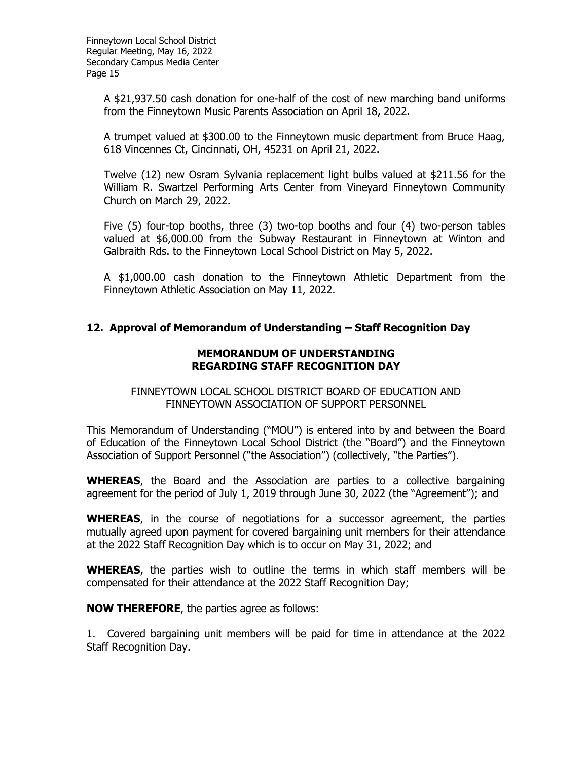> A \$21,937.50 cash donation for one-half of the cost of new marching band uniforms from the Finneytown Music Parents Association on April 18, 2022.

> A trumpet valued at \$300.00 to the Finneytown music department from Bruce Haag, 618 Vincennes Ct, Cincinnati, OH, 45231 on April 21, 2022.

> Twelve (12) new Osram Sylvania replacement light bulbs valued at \$211.56 for the William R. Swartzel Performing Arts Center from Vineyard Finneytown Community Church on March 29, 2022.

> Five (5) four-top booths, three (3) two-top booths and four (4) two-person tables valued at \$6,000.00 from the Subway Restaurant in Finneytown at Winton and Galbraith Rds. to the Finneytown Local School District on May 5, 2022.

> A \$1,000.00 cash donation to the Finneytown Athletic Department from the Finneytown Athletic Association on May 11, 2022.

# **12. Approval of Memorandum of Understanding – Staff Recognition Day**

# **MEMORANDUM OF UNDERSTANDING REGARDING STAFF RECOGNITION DAY**

FINNEYTOWN LOCAL SCHOOL DISTRICT BOARD OF EDUCATION AND FINNEYTOWN ASSOCIATION OF SUPPORT PERSONNEL

This Memorandum of Understanding ("MOU") is entered into by and between the Board of Education of the Finneytown Local School District (the "Board") and the Finneytown Association of Support Personnel ("the Association") (collectively, "the Parties").

**WHEREAS**, the Board and the Association are parties to a collective bargaining agreement for the period of July 1, 2019 through June 30, 2022 (the "Agreement"); and

**WHEREAS**, in the course of negotiations for a successor agreement, the parties mutually agreed upon payment for covered bargaining unit members for their attendance at the 2022 Staff Recognition Day which is to occur on May 31, 2022; and

**WHEREAS**, the parties wish to outline the terms in which staff members will be compensated for their attendance at the 2022 Staff Recognition Day;

**NOW THEREFORE**, the parties agree as follows:

1. Covered bargaining unit members will be paid for time in attendance at the 2022 Staff Recognition Day.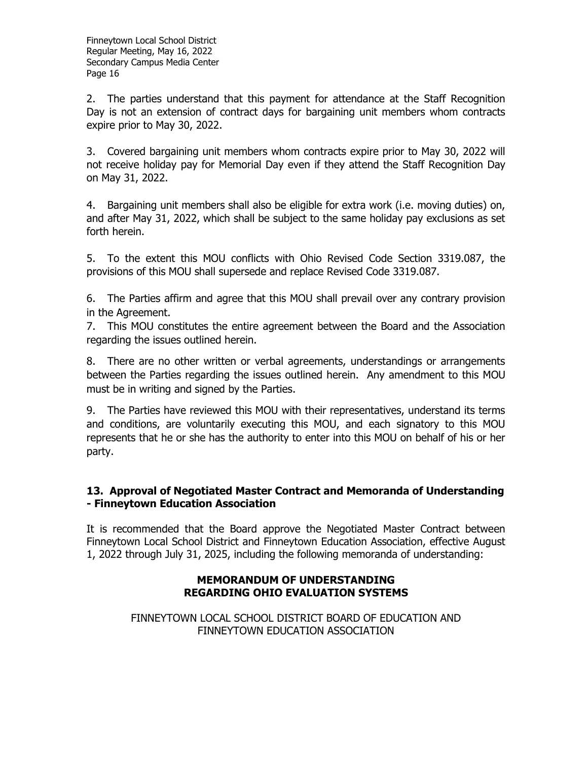2. The parties understand that this payment for attendance at the Staff Recognition Day is not an extension of contract days for bargaining unit members whom contracts expire prior to May 30, 2022.

3. Covered bargaining unit members whom contracts expire prior to May 30, 2022 will not receive holiday pay for Memorial Day even if they attend the Staff Recognition Day on May 31, 2022.

4. Bargaining unit members shall also be eligible for extra work (i.e. moving duties) on, and after May 31, 2022, which shall be subject to the same holiday pay exclusions as set forth herein.

5. To the extent this MOU conflicts with Ohio Revised Code Section 3319.087, the provisions of this MOU shall supersede and replace Revised Code 3319.087.

6. The Parties affirm and agree that this MOU shall prevail over any contrary provision in the Agreement.

7. This MOU constitutes the entire agreement between the Board and the Association regarding the issues outlined herein.

8. There are no other written or verbal agreements, understandings or arrangements between the Parties regarding the issues outlined herein. Any amendment to this MOU must be in writing and signed by the Parties.

9. The Parties have reviewed this MOU with their representatives, understand its terms and conditions, are voluntarily executing this MOU, and each signatory to this MOU represents that he or she has the authority to enter into this MOU on behalf of his or her party.

# **13. Approval of Negotiated Master Contract and Memoranda of Understanding - Finneytown Education Association**

It is recommended that the Board approve the Negotiated Master Contract between Finneytown Local School District and Finneytown Education Association, effective August 1, 2022 through July 31, 2025, including the following memoranda of understanding:

# **MEMORANDUM OF UNDERSTANDING REGARDING OHIO EVALUATION SYSTEMS**

# FINNEYTOWN LOCAL SCHOOL DISTRICT BOARD OF EDUCATION AND FINNEYTOWN EDUCATION ASSOCIATION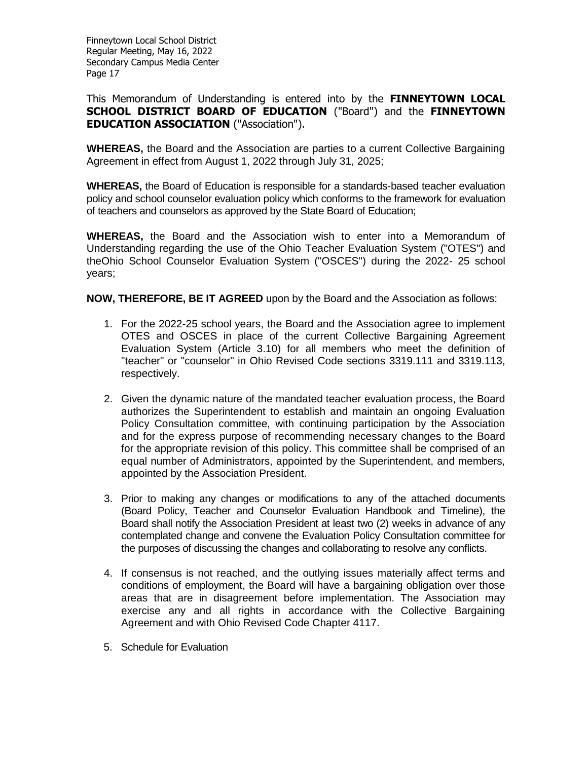This Memorandum of Understanding is entered into by the **FINNEYTOWN LOCAL SCHOOL DISTRICT BOARD OF EDUCATION** ("Board") and the **FINNEYTOWN EDUCATION ASSOCIATION** ("Association").

**WHEREAS,** the Board and the Association are parties to a current Collective Bargaining Agreement in effect from August 1, 2022 through July 31, 2025;

**WHEREAS,** the Board of Education is responsible for a standards-based teacher evaluation policy and school counselor evaluation policy which conforms to the framework for evaluation of teachers and counselors as approved by the State Board of Education;

**WHEREAS,** the Board and the Association wish to enter into a Memorandum of Understanding regarding the use of the Ohio Teacher Evaluation System ("OTES") and theOhio School Counselor Evaluation System ("OSCES") during the 2022- 25 school years;

**NOW, THEREFORE, BE IT AGREED** upon by the Board and the Association as follows:

- 1. For the 2022-25 school years, the Board and the Association agree to implement OTES and OSCES in place of the current Collective Bargaining Agreement Evaluation System (Article 3.10) for all members who meet the definition of "teacher" or "counselor" in Ohio Revised Code sections 3319.111 and 3319.113, respectively.
- 2. Given the dynamic nature of the mandated teacher evaluation process, the Board authorizes the Superintendent to establish and maintain an ongoing Evaluation Policy Consultation committee, with continuing participation by the Association and for the express purpose of recommending necessary changes to the Board for the appropriate revision of this policy. This committee shall be comprised of an equal number of Administrators, appointed by the Superintendent, and members, appointed by the Association President.
- 3. Prior to making any changes or modifications to any of the attached documents (Board Policy, Teacher and Counselor Evaluation Handbook and Timeline), the Board shall notify the Association President at least two (2) weeks in advance of any contemplated change and convene the Evaluation Policy Consultation committee for the purposes of discussing the changes and collaborating to resolve any conflicts.
- 4. If consensus is not reached, and the outlying issues materially affect terms and conditions of employment, the Board will have a bargaining obligation over those areas that are in disagreement before implementation. The Association may exercise any and all rights in accordance with the Collective Bargaining Agreement and with Ohio Revised Code Chapter 4117.
- 5. Schedule for Evaluation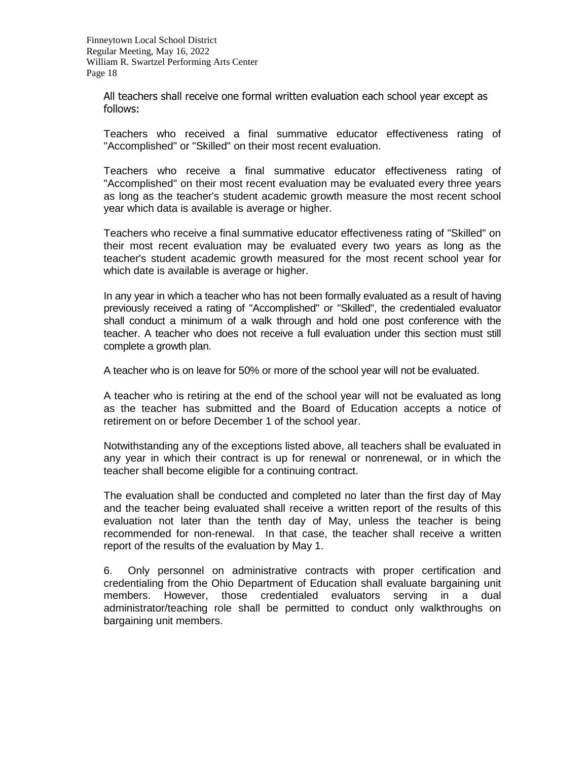All teachers shall receive one formal written evaluation each school year except as follows:

Teachers who received a final summative educator effectiveness rating of "Accomplished" or "Skilled" on their most recent evaluation.

Teachers who receive a final summative educator effectiveness rating of "Accomplished" on their most recent evaluation may be evaluated every three years as long as the teacher's student academic growth measure the most recent school year which data is available is average or higher.

Teachers who receive a final summative educator effectiveness rating of "Skilled" on their most recent evaluation may be evaluated every two years as long as the teacher's student academic growth measured for the most recent school year for which date is available is average or higher.

In any year in which a teacher who has not been formally evaluated as a result of having previously received a rating of "Accomplished" or "Skilled", the credentialed evaluator shall conduct a minimum of a walk through and hold one post conference with the teacher. A teacher who does not receive a full evaluation under this section must still complete a growth plan.

A teacher who is on leave for 50% or more of the school year will not be evaluated.

A teacher who is retiring at the end of the school year will not be evaluated as long as the teacher has submitted and the Board of Education accepts a notice of retirement on or before December 1 of the school year.

Notwithstanding any of the exceptions listed above, all teachers shall be evaluated in any year in which their contract is up for renewal or nonrenewal, or in which the teacher shall become eligible for a continuing contract.

The evaluation shall be conducted and completed no later than the first day of May and the teacher being evaluated shall receive a written report of the results of this evaluation not later than the tenth day of May, unless the teacher is being recommended for non-renewal. In that case, the teacher shall receive a written report of the results of the evaluation by May 1.

6. Only personnel on administrative contracts with proper certification and credentialing from the Ohio Department of Education shall evaluate bargaining unit members. However, those credentialed evaluators serving in a dual administrator/teaching role shall be permitted to conduct only walkthroughs on bargaining unit members.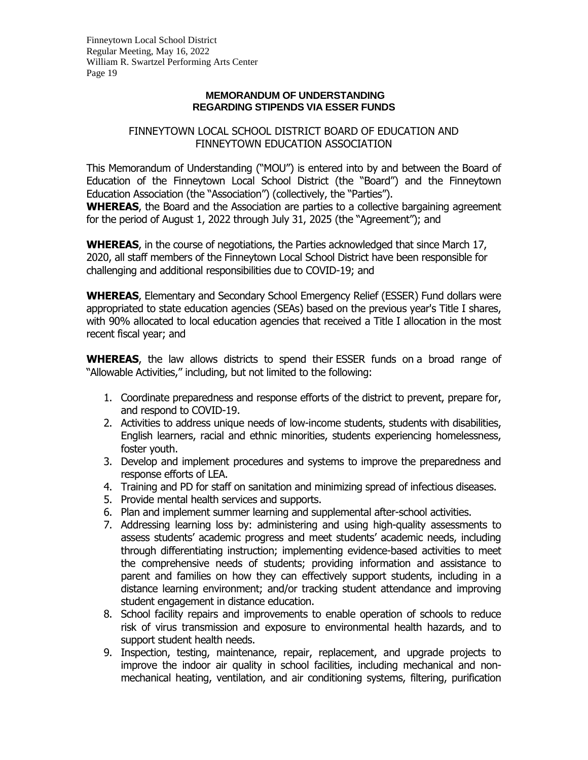### **MEMORANDUM OF UNDERSTANDING REGARDING STIPENDS VIA ESSER FUNDS**

## FINNEYTOWN LOCAL SCHOOL DISTRICT BOARD OF EDUCATION AND FINNEYTOWN EDUCATION ASSOCIATION

This Memorandum of Understanding ("MOU") is entered into by and between the Board of Education of the Finneytown Local School District (the "Board") and the Finneytown Education Association (the "Association") (collectively, the "Parties"). **WHEREAS**, the Board and the Association are parties to a collective bargaining agreement for the period of August 1, 2022 through July 31, 2025 (the "Agreement"); and

**WHEREAS**, in the course of negotiations, the Parties acknowledged that since March 17, 2020, all staff members of the Finneytown Local School District have been responsible for challenging and additional responsibilities due to COVID-19; and

**WHEREAS**, Elementary and Secondary School Emergency Relief (ESSER) Fund dollars were appropriated to state education agencies (SEAs) based on the previous year's Title I shares, with 90% allocated to local education agencies that received a Title I allocation in the most recent fiscal year; and

**WHEREAS**, the law allows districts to spend their ESSER funds on a broad range of "Allowable Activities," including, but not limited to the following:

- 1. Coordinate preparedness and response efforts of the district to prevent, prepare for, and respond to COVID-19.
- 2. Activities to address unique needs of low-income students, students with disabilities, English learners, racial and ethnic minorities, students experiencing homelessness, foster youth.
- 3. Develop and implement procedures and systems to improve the preparedness and response efforts of LEA.
- 4. Training and PD for staff on sanitation and minimizing spread of infectious diseases.
- 5. Provide mental health services and supports.
- 6. Plan and implement summer learning and supplemental after-school activities.
- 7. Addressing learning loss by: administering and using high-quality assessments to assess students' academic progress and meet students' academic needs, including through differentiating instruction; implementing evidence-based activities to meet the comprehensive needs of students; providing information and assistance to parent and families on how they can effectively support students, including in a distance learning environment; and/or tracking student attendance and improving student engagement in distance education.
- 8. School facility repairs and improvements to enable operation of schools to reduce risk of virus transmission and exposure to environmental health hazards, and to support student health needs.
- 9. Inspection, testing, maintenance, repair, replacement, and upgrade projects to improve the indoor air quality in school facilities, including mechanical and nonmechanical heating, ventilation, and air conditioning systems, filtering, purification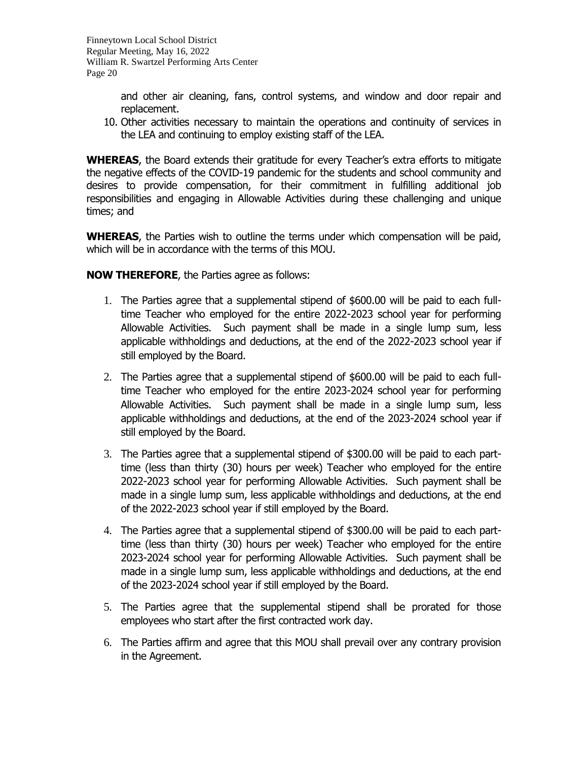and other air cleaning, fans, control systems, and window and door repair and replacement.

10. Other activities necessary to maintain the operations and continuity of services in the LEA and continuing to employ existing staff of the LEA.

**WHEREAS**, the Board extends their gratitude for every Teacher's extra efforts to mitigate the negative effects of the COVID-19 pandemic for the students and school community and desires to provide compensation, for their commitment in fulfilling additional job responsibilities and engaging in Allowable Activities during these challenging and unique times; and

**WHEREAS**, the Parties wish to outline the terms under which compensation will be paid, which will be in accordance with the terms of this MOU.

**NOW THEREFORE**, the Parties agree as follows:

- 1. The Parties agree that a supplemental stipend of \$600.00 will be paid to each fulltime Teacher who employed for the entire 2022-2023 school year for performing Allowable Activities. Such payment shall be made in a single lump sum, less applicable withholdings and deductions, at the end of the 2022-2023 school year if still employed by the Board.
- 2. The Parties agree that a supplemental stipend of \$600.00 will be paid to each fulltime Teacher who employed for the entire 2023-2024 school year for performing Allowable Activities. Such payment shall be made in a single lump sum, less applicable withholdings and deductions, at the end of the 2023-2024 school year if still employed by the Board.
- 3. The Parties agree that a supplemental stipend of \$300.00 will be paid to each parttime (less than thirty (30) hours per week) Teacher who employed for the entire 2022-2023 school year for performing Allowable Activities. Such payment shall be made in a single lump sum, less applicable withholdings and deductions, at the end of the 2022-2023 school year if still employed by the Board.
- 4. The Parties agree that a supplemental stipend of \$300.00 will be paid to each parttime (less than thirty (30) hours per week) Teacher who employed for the entire 2023-2024 school year for performing Allowable Activities. Such payment shall be made in a single lump sum, less applicable withholdings and deductions, at the end of the 2023-2024 school year if still employed by the Board.
- 5. The Parties agree that the supplemental stipend shall be prorated for those employees who start after the first contracted work day.
- 6. The Parties affirm and agree that this MOU shall prevail over any contrary provision in the Agreement.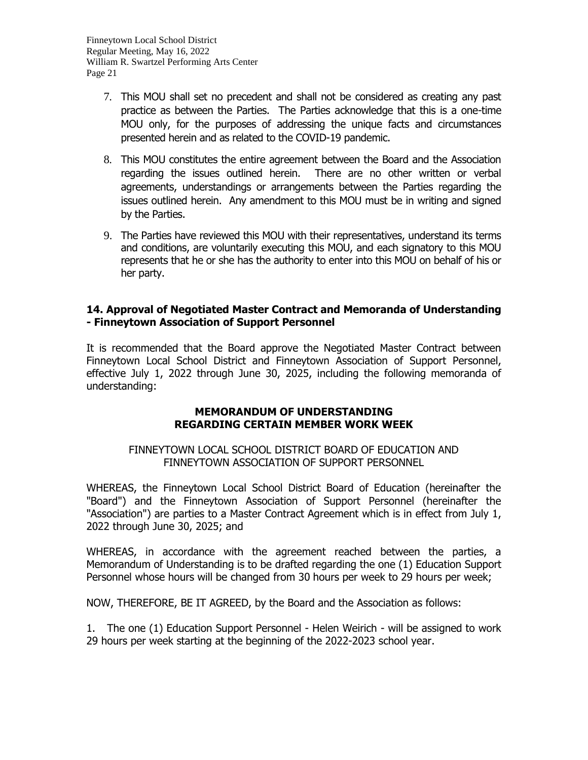- 7. This MOU shall set no precedent and shall not be considered as creating any past practice as between the Parties. The Parties acknowledge that this is a one-time MOU only, for the purposes of addressing the unique facts and circumstances presented herein and as related to the COVID-19 pandemic.
- 8. This MOU constitutes the entire agreement between the Board and the Association regarding the issues outlined herein. There are no other written or verbal agreements, understandings or arrangements between the Parties regarding the issues outlined herein. Any amendment to this MOU must be in writing and signed by the Parties.
- 9. The Parties have reviewed this MOU with their representatives, understand its terms and conditions, are voluntarily executing this MOU, and each signatory to this MOU represents that he or she has the authority to enter into this MOU on behalf of his or her party.

## **14. Approval of Negotiated Master Contract and Memoranda of Understanding - Finneytown Association of Support Personnel**

It is recommended that the Board approve the Negotiated Master Contract between Finneytown Local School District and Finneytown Association of Support Personnel, effective July 1, 2022 through June 30, 2025, including the following memoranda of understanding:

## **MEMORANDUM OF UNDERSTANDING REGARDING CERTAIN MEMBER WORK WEEK**

# FINNEYTOWN LOCAL SCHOOL DISTRICT BOARD OF EDUCATION AND FINNEYTOWN ASSOCIATION OF SUPPORT PERSONNEL

WHEREAS, the Finneytown Local School District Board of Education (hereinafter the "Board") and the Finneytown Association of Support Personnel (hereinafter the "Association") are parties to a Master Contract Agreement which is in effect from July 1, 2022 through June 30, 2025; and

WHEREAS, in accordance with the agreement reached between the parties, a Memorandum of Understanding is to be drafted regarding the one (1) Education Support Personnel whose hours will be changed from 30 hours per week to 29 hours per week;

NOW, THEREFORE, BE IT AGREED, by the Board and the Association as follows:

1. The one (1) Education Support Personnel - Helen Weirich - will be assigned to work 29 hours per week starting at the beginning of the 2022-2023 school year.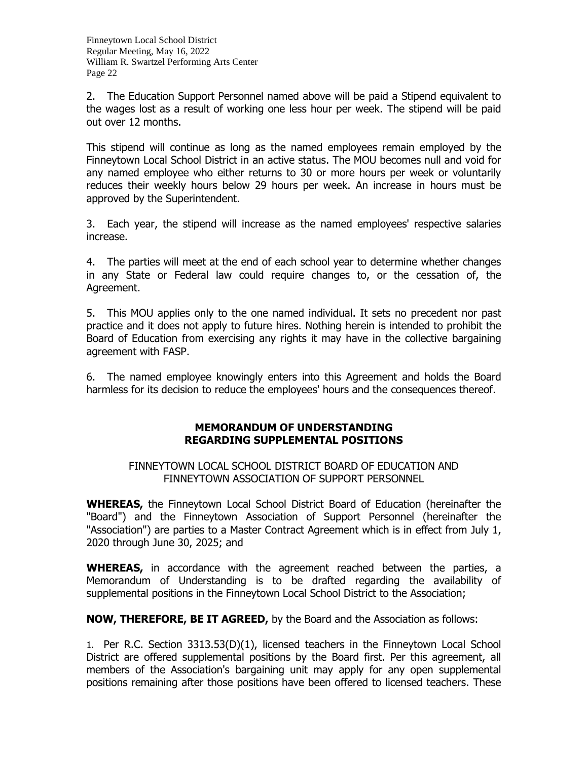2. The Education Support Personnel named above will be paid a Stipend equivalent to the wages lost as a result of working one less hour per week. The stipend will be paid out over 12 months.

This stipend will continue as long as the named employees remain employed by the Finneytown Local School District in an active status. The MOU becomes null and void for any named employee who either returns to 30 or more hours per week or voluntarily reduces their weekly hours below 29 hours per week. An increase in hours must be approved by the Superintendent.

3. Each year, the stipend will increase as the named employees' respective salaries increase.

4. The parties will meet at the end of each school year to determine whether changes in any State or Federal law could require changes to, or the cessation of, the Agreement.

5. This MOU applies only to the one named individual. It sets no precedent nor past practice and it does not apply to future hires. Nothing herein is intended to prohibit the Board of Education from exercising any rights it may have in the collective bargaining agreement with FASP.

6. The named employee knowingly enters into this Agreement and holds the Board harmless for its decision to reduce the employees' hours and the consequences thereof.

## **MEMORANDUM OF UNDERSTANDING REGARDING SUPPLEMENTAL POSITIONS**

### FINNEYTOWN LOCAL SCHOOL DISTRICT BOARD OF EDUCATION AND FINNEYTOWN ASSOCIATION OF SUPPORT PERSONNEL

**WHEREAS,** the Finneytown Local School District Board of Education (hereinafter the "Board") and the Finneytown Association of Support Personnel (hereinafter the "Association") are parties to a Master Contract Agreement which is in effect from July 1, 2020 through June 30, 2025; and

**WHEREAS,** in accordance with the agreement reached between the parties, a Memorandum of Understanding is to be drafted regarding the availability of supplemental positions in the Finneytown Local School District to the Association;

**NOW, THEREFORE, BE IT AGREED,** by the Board and the Association as follows:

1. Per R.C. Section 3313.53(D)(1), licensed teachers in the Finneytown Local School District are offered supplemental positions by the Board first. Per this agreement, all members of the Association's bargaining unit may apply for any open supplemental positions remaining after those positions have been offered to licensed teachers. These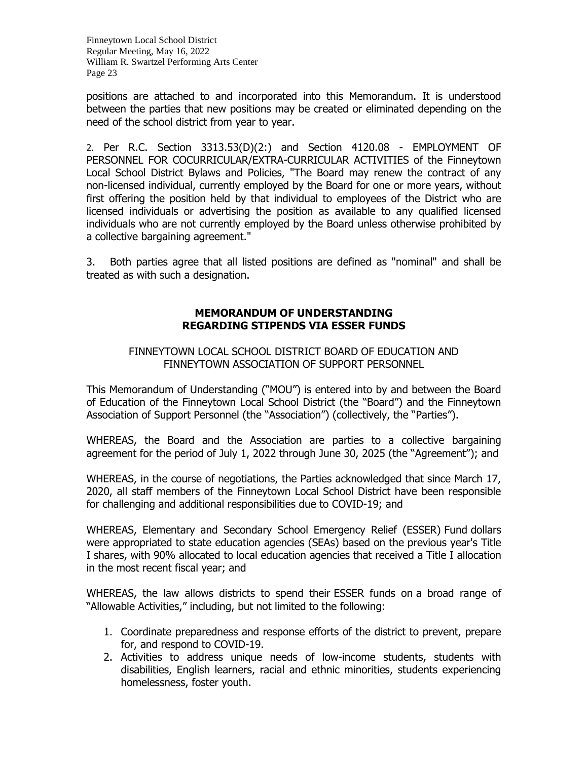positions are attached to and incorporated into this Memorandum. It is understood between the parties that new positions may be created or eliminated depending on the need of the school district from year to year.

2. Per R.C. Section 3313.53(D)(2:) and Section 4120.08 - EMPLOYMENT OF PERSONNEL FOR COCURRICULAR/EXTRA-CURRICULAR ACTIVITIES of the Finneytown Local School District Bylaws and Policies, "The Board may renew the contract of any non-licensed individual, currently employed by the Board for one or more years, without first offering the position held by that individual to employees of the District who are licensed individuals or advertising the position as available to any qualified licensed individuals who are not currently employed by the Board unless otherwise prohibited by a collective bargaining agreement."

3. Both parties agree that all listed positions are defined as "nominal" and shall be treated as with such a designation.

## **MEMORANDUM OF UNDERSTANDING REGARDING STIPENDS VIA ESSER FUNDS**

## FINNEYTOWN LOCAL SCHOOL DISTRICT BOARD OF EDUCATION AND FINNEYTOWN ASSOCIATION OF SUPPORT PERSONNEL

This Memorandum of Understanding ("MOU") is entered into by and between the Board of Education of the Finneytown Local School District (the "Board") and the Finneytown Association of Support Personnel (the "Association") (collectively, the "Parties").

WHEREAS, the Board and the Association are parties to a collective bargaining agreement for the period of July 1, 2022 through June 30, 2025 (the "Agreement"); and

WHEREAS, in the course of negotiations, the Parties acknowledged that since March 17, 2020, all staff members of the Finneytown Local School District have been responsible for challenging and additional responsibilities due to COVID-19; and

WHEREAS, Elementary and Secondary School Emergency Relief (ESSER) Fund dollars were appropriated to state education agencies (SEAs) based on the previous year's Title I shares, with 90% allocated to local education agencies that received a Title I allocation in the most recent fiscal year; and

WHEREAS, the law allows districts to spend their ESSER funds on a broad range of "Allowable Activities," including, but not limited to the following:

- 1. Coordinate preparedness and response efforts of the district to prevent, prepare for, and respond to COVID-19.
- 2. Activities to address unique needs of low-income students, students with disabilities, English learners, racial and ethnic minorities, students experiencing homelessness, foster youth.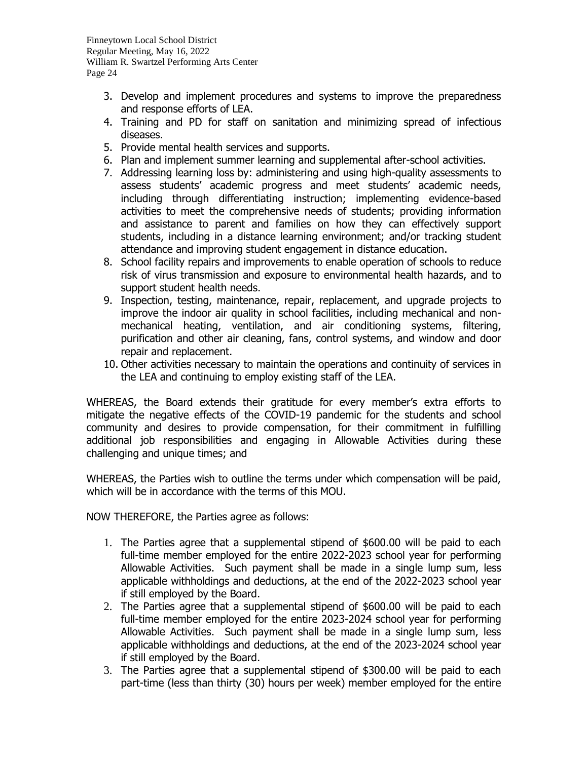- 3. Develop and implement procedures and systems to improve the preparedness and response efforts of LEA.
- 4. Training and PD for staff on sanitation and minimizing spread of infectious diseases.
- 5. Provide mental health services and supports.
- 6. Plan and implement summer learning and supplemental after-school activities.
- 7. Addressing learning loss by: administering and using high-quality assessments to assess students' academic progress and meet students' academic needs, including through differentiating instruction; implementing evidence-based activities to meet the comprehensive needs of students; providing information and assistance to parent and families on how they can effectively support students, including in a distance learning environment; and/or tracking student attendance and improving student engagement in distance education.
- 8. School facility repairs and improvements to enable operation of schools to reduce risk of virus transmission and exposure to environmental health hazards, and to support student health needs.
- 9. Inspection, testing, maintenance, repair, replacement, and upgrade projects to improve the indoor air quality in school facilities, including mechanical and nonmechanical heating, ventilation, and air conditioning systems, filtering, purification and other air cleaning, fans, control systems, and window and door repair and replacement.
- 10. Other activities necessary to maintain the operations and continuity of services in the LEA and continuing to employ existing staff of the LEA.

WHEREAS, the Board extends their gratitude for every member's extra efforts to mitigate the negative effects of the COVID-19 pandemic for the students and school community and desires to provide compensation, for their commitment in fulfilling additional job responsibilities and engaging in Allowable Activities during these challenging and unique times; and

WHEREAS, the Parties wish to outline the terms under which compensation will be paid, which will be in accordance with the terms of this MOU.

NOW THEREFORE, the Parties agree as follows:

- 1. The Parties agree that a supplemental stipend of \$600.00 will be paid to each full-time member employed for the entire 2022-2023 school year for performing Allowable Activities. Such payment shall be made in a single lump sum, less applicable withholdings and deductions, at the end of the 2022-2023 school year if still employed by the Board.
- 2. The Parties agree that a supplemental stipend of \$600.00 will be paid to each full-time member employed for the entire 2023-2024 school year for performing Allowable Activities. Such payment shall be made in a single lump sum, less applicable withholdings and deductions, at the end of the 2023-2024 school year if still employed by the Board.
- 3. The Parties agree that a supplemental stipend of \$300.00 will be paid to each part-time (less than thirty (30) hours per week) member employed for the entire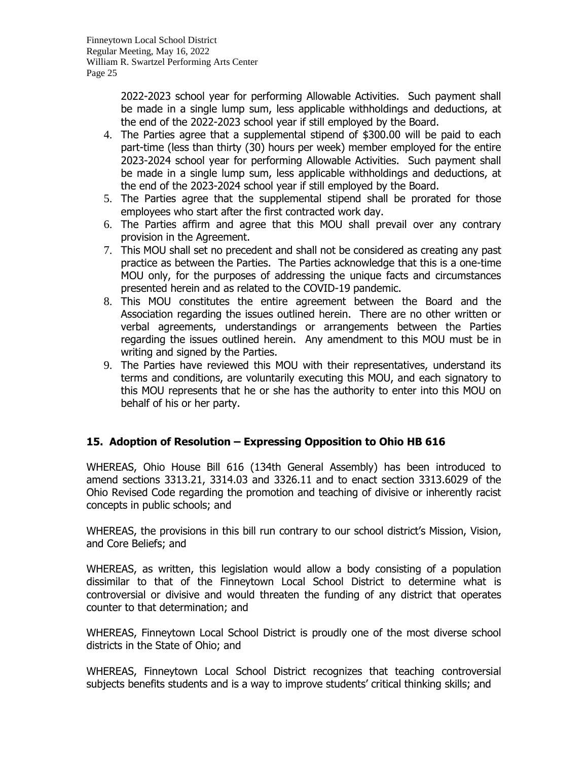2022-2023 school year for performing Allowable Activities. Such payment shall be made in a single lump sum, less applicable withholdings and deductions, at the end of the 2022-2023 school year if still employed by the Board.

- 4. The Parties agree that a supplemental stipend of \$300.00 will be paid to each part-time (less than thirty (30) hours per week) member employed for the entire 2023-2024 school year for performing Allowable Activities. Such payment shall be made in a single lump sum, less applicable withholdings and deductions, at the end of the 2023-2024 school year if still employed by the Board.
- 5. The Parties agree that the supplemental stipend shall be prorated for those employees who start after the first contracted work day.
- 6. The Parties affirm and agree that this MOU shall prevail over any contrary provision in the Agreement.
- 7. This MOU shall set no precedent and shall not be considered as creating any past practice as between the Parties. The Parties acknowledge that this is a one-time MOU only, for the purposes of addressing the unique facts and circumstances presented herein and as related to the COVID-19 pandemic.
- 8. This MOU constitutes the entire agreement between the Board and the Association regarding the issues outlined herein. There are no other written or verbal agreements, understandings or arrangements between the Parties regarding the issues outlined herein. Any amendment to this MOU must be in writing and signed by the Parties.
- 9. The Parties have reviewed this MOU with their representatives, understand its terms and conditions, are voluntarily executing this MOU, and each signatory to this MOU represents that he or she has the authority to enter into this MOU on behalf of his or her party.

# **15. Adoption of Resolution – Expressing Opposition to Ohio HB 616**

WHEREAS, Ohio House Bill 616 (134th General Assembly) has been introduced to amend sections 3313.21, 3314.03 and 3326.11 and to enact section 3313.6029 of the Ohio Revised Code regarding the promotion and teaching of divisive or inherently racist concepts in public schools; and

WHEREAS, the provisions in this bill run contrary to our school district's Mission, Vision, and Core Beliefs; and

WHEREAS, as written, this legislation would allow a body consisting of a population dissimilar to that of the Finneytown Local School District to determine what is controversial or divisive and would threaten the funding of any district that operates counter to that determination; and

WHEREAS, Finneytown Local School District is proudly one of the most diverse school districts in the State of Ohio; and

WHEREAS, Finneytown Local School District recognizes that teaching controversial subjects benefits students and is a way to improve students' critical thinking skills; and